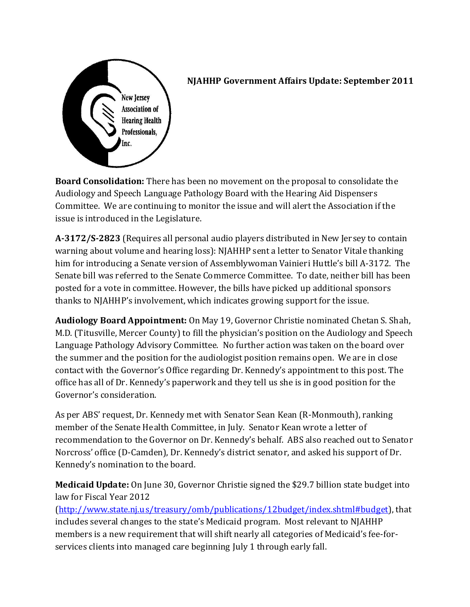

## **NJAHHP Government Affairs Update: September 2011**

**Board Consolidation:** There has been no movement on the proposal to consolidate the Audiology and Speech Language Pathology Board with the Hearing Aid Dispensers Committee. We are continuing to monitor the issue and will alert the Association if the issue is introduced in the Legislature.

**A-3172/S-2823** (Requires all personal audio players distributed in New Jersey to contain warning about volume and hearing loss): NJAHHP sent a letter to Senator Vitale thanking him for introducing a Senate version of Assemblywoman Vainieri Huttle's bill A-3172. The Senate bill was referred to the Senate Commerce Committee. To date, neither bill has been posted for a vote in committee. However, the bills have picked up additional sponsors thanks to NJAHHP's involvement, which indicates growing support for the issue.

**Audiology Board Appointment:** On May 19, Governor Christie nominated Chetan S. Shah, M.D. (Titusville, Mercer County) to fill the physician's position on the Audiology and Speech Language Pathology Advisory Committee. No further action was taken on the board over the summer and the position for the audiologist position remains open. We are in close contact with the Governor's Office regarding Dr. Kennedy's appointment to this post. The office has all of Dr. Kennedy's paperwork and they tell us she is in good position for the Governor's consideration.

As per ABS' request, Dr. Kennedy met with Senator Sean Kean (R-Monmouth), ranking member of the Senate Health Committee, in July. Senator Kean wrote a letter of recommendation to the Governor on Dr. Kennedy's behalf. ABS also reached out to Senator Norcross' office (D-Camden), Dr. Kennedy's district senator, and asked his support of Dr. Kennedy's nomination to the board.

**Medicaid Update:** On June 30, Governor Christie signed the \$29.7 billion state budget into law for Fiscal Year 2012

(http://www.state.nj.u s/treasury/omb/publications/12budget/index.shtml#budget), that includes several changes to the state's Medicaid program. Most relevant to NJAHHP members is a new requirement that will shift nearly all categories of Medicaid's fee-forservices clients into managed care beginning July 1 through early fall.